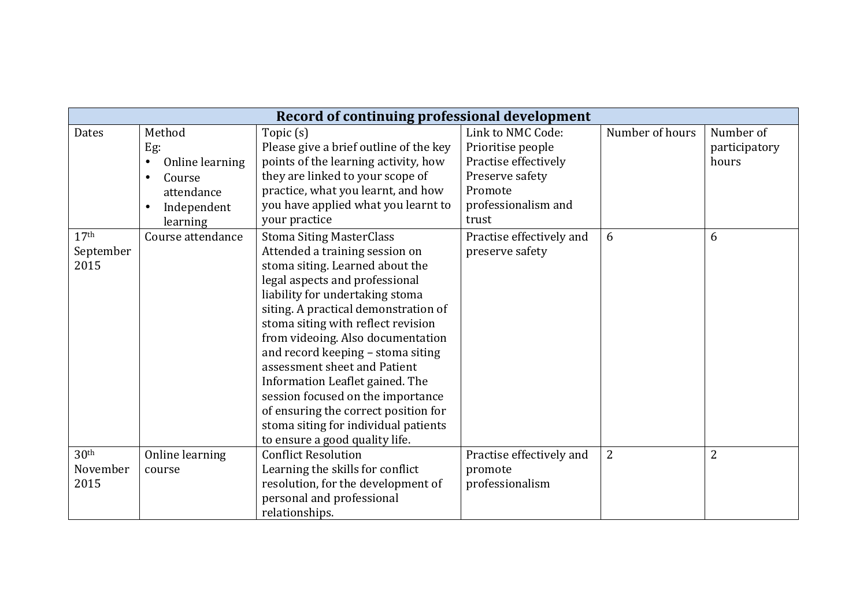| Record of continuing professional development |                              |                                        |                          |                 |                |  |  |  |  |
|-----------------------------------------------|------------------------------|----------------------------------------|--------------------------|-----------------|----------------|--|--|--|--|
| Dates                                         | Method                       | Topic (s)                              | Link to NMC Code:        | Number of hours | Number of      |  |  |  |  |
|                                               | Eg:                          | Please give a brief outline of the key | Prioritise people        |                 | participatory  |  |  |  |  |
|                                               | Online learning<br>$\bullet$ | points of the learning activity, how   | Practise effectively     |                 | hours          |  |  |  |  |
|                                               | Course<br>$\bullet$          | they are linked to your scope of       | Preserve safety          |                 |                |  |  |  |  |
|                                               | attendance                   | practice, what you learnt, and how     | Promote                  |                 |                |  |  |  |  |
|                                               | Independent<br>$\bullet$     | you have applied what you learnt to    | professionalism and      |                 |                |  |  |  |  |
|                                               | learning                     | your practice                          | trust                    |                 |                |  |  |  |  |
| 17 <sup>th</sup>                              | Course attendance            | <b>Stoma Siting MasterClass</b>        | Practise effectively and | 6               | 6              |  |  |  |  |
| September                                     |                              | Attended a training session on         | preserve safety          |                 |                |  |  |  |  |
| 2015                                          |                              | stoma siting. Learned about the        |                          |                 |                |  |  |  |  |
|                                               |                              | legal aspects and professional         |                          |                 |                |  |  |  |  |
|                                               |                              | liability for undertaking stoma        |                          |                 |                |  |  |  |  |
|                                               |                              | siting. A practical demonstration of   |                          |                 |                |  |  |  |  |
|                                               |                              | stoma siting with reflect revision     |                          |                 |                |  |  |  |  |
|                                               |                              | from videoing. Also documentation      |                          |                 |                |  |  |  |  |
|                                               |                              | and record keeping - stoma siting      |                          |                 |                |  |  |  |  |
|                                               |                              | assessment sheet and Patient           |                          |                 |                |  |  |  |  |
|                                               |                              | Information Leaflet gained. The        |                          |                 |                |  |  |  |  |
|                                               |                              | session focused on the importance      |                          |                 |                |  |  |  |  |
|                                               |                              | of ensuring the correct position for   |                          |                 |                |  |  |  |  |
|                                               |                              | stoma siting for individual patients   |                          |                 |                |  |  |  |  |
|                                               |                              | to ensure a good quality life.         |                          |                 |                |  |  |  |  |
| 30 <sup>th</sup>                              | Online learning              | <b>Conflict Resolution</b>             | Practise effectively and | $\overline{2}$  | $\overline{2}$ |  |  |  |  |
| November                                      | course                       | Learning the skills for conflict       | promote                  |                 |                |  |  |  |  |
| 2015                                          |                              | resolution, for the development of     | professionalism          |                 |                |  |  |  |  |
|                                               |                              | personal and professional              |                          |                 |                |  |  |  |  |
|                                               |                              | relationships.                         |                          |                 |                |  |  |  |  |